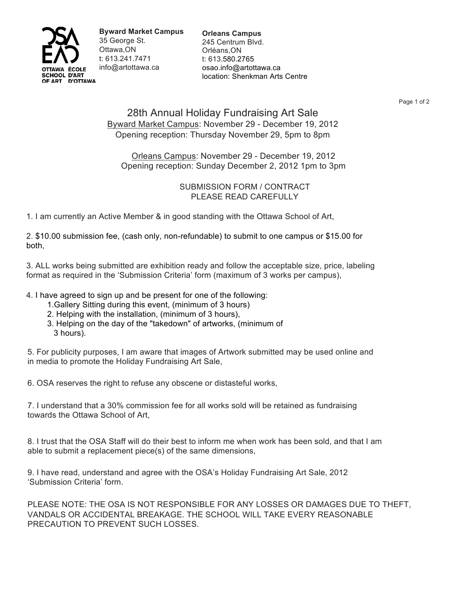

**Byward Market Campus**  35 George St. Ottawa,ON t: 613.241.7471 info@artottawa.ca

**Orleans Campus** 245 Centrum Blvd. Orléans,ON t: 613.580.2765 osao.info@artottawa.ca location: Shenkman Arts Centre

Page 1 of 2

## 28th Annual Holiday Fundraising Art Sale Byward Market Campus: November 29 - December 19, 2012 Opening reception: Thursday November 29, 5pm to 8pm

Orleans Campus: November 29 - December 19, 2012 Opening reception: Sunday December 2, 2012 1pm to 3pm

## SUBMISSION FORM / CONTRACT PLEASE READ CAREFULLY

1. I am currently an Active Member & in good standing with the Ottawa School of Art,

2. \$10.00 submission fee, (cash only, non-refundable) to submit to one campus or \$15.00 for both,

3. ALL works being submitted are exhibition ready and follow the acceptable size, price, labeling format as required in the 'Submission Criteria' form (maximum of 3 works per campus),

4. I have agreed to sign up and be present for one of the following:

- 1.Gallery Sitting during this event, (minimum of 3 hours)
- 2. Helping with the installation, (minimum of 3 hours),
- 3. Helping on the day of the "takedown" of artworks, (minimum of 3 hours).

5. For publicity purposes, I am aware that images of Artwork submitted may be used online and in media to promote the Holiday Fundraising Art Sale,

6. OSA reserves the right to refuse any obscene or distasteful works,

7. I understand that a 30% commission fee for all works sold will be retained as fundraising towards the Ottawa School of Art,

8. I trust that the OSA Staff will do their best to inform me when work has been sold, and that I am able to submit a replacement piece(s) of the same dimensions,

9. I have read, understand and agree with the OSA's Holiday Fundraising Art Sale, 2012 'Submission Criteria' form.

PLEASE NOTE: THE OSA IS NOT RESPONSIBLE FOR ANY LOSSES OR DAMAGES DUE TO THEFT, VANDALS OR ACCIDENTAL BREAKAGE. THE SCHOOL WILL TAKE EVERY REASONABLE PRECAUTION TO PREVENT SUCH LOSSES.